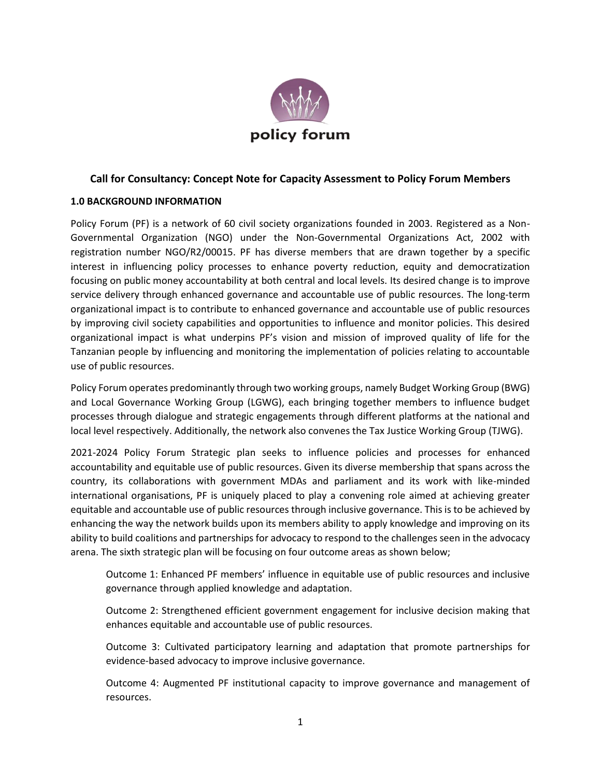

# **Call for Consultancy: Concept Note for Capacity Assessment to Policy Forum Members**

## **1.0 BACKGROUND INFORMATION**

Policy Forum (PF) is a network of 60 civil society organizations founded in 2003. Registered as a Non-Governmental Organization (NGO) under the Non-Governmental Organizations Act, 2002 with registration number NGO/R2/00015. PF has diverse members that are drawn together by a specific interest in influencing policy processes to enhance poverty reduction, equity and democratization focusing on public money accountability at both central and local levels. Its desired change is to improve service delivery through enhanced governance and accountable use of public resources. The long-term organizational impact is to contribute to enhanced governance and accountable use of public resources by improving civil society capabilities and opportunities to influence and monitor policies. This desired organizational impact is what underpins PF's vision and mission of improved quality of life for the Tanzanian people by influencing and monitoring the implementation of policies relating to accountable use of public resources.

Policy Forum operates predominantly through two working groups, namely Budget Working Group (BWG) and Local Governance Working Group (LGWG), each bringing together members to influence budget processes through dialogue and strategic engagements through different platforms at the national and local level respectively. Additionally, the network also convenes the Tax Justice Working Group (TJWG).

2021-2024 Policy Forum Strategic plan seeks to influence policies and processes for enhanced accountability and equitable use of public resources. Given its diverse membership that spans across the country, its collaborations with government MDAs and parliament and its work with like-minded international organisations, PF is uniquely placed to play a convening role aimed at achieving greater equitable and accountable use of public resources through inclusive governance. This is to be achieved by enhancing the way the network builds upon its members ability to apply knowledge and improving on its ability to build coalitions and partnerships for advocacy to respond to the challenges seen in the advocacy arena. The sixth strategic plan will be focusing on four outcome areas as shown below;

Outcome 1: Enhanced PF members' influence in equitable use of public resources and inclusive governance through applied knowledge and adaptation.

Outcome 2: Strengthened efficient government engagement for inclusive decision making that enhances equitable and accountable use of public resources.

Outcome 3: Cultivated participatory learning and adaptation that promote partnerships for evidence-based advocacy to improve inclusive governance.

Outcome 4: Augmented PF institutional capacity to improve governance and management of resources.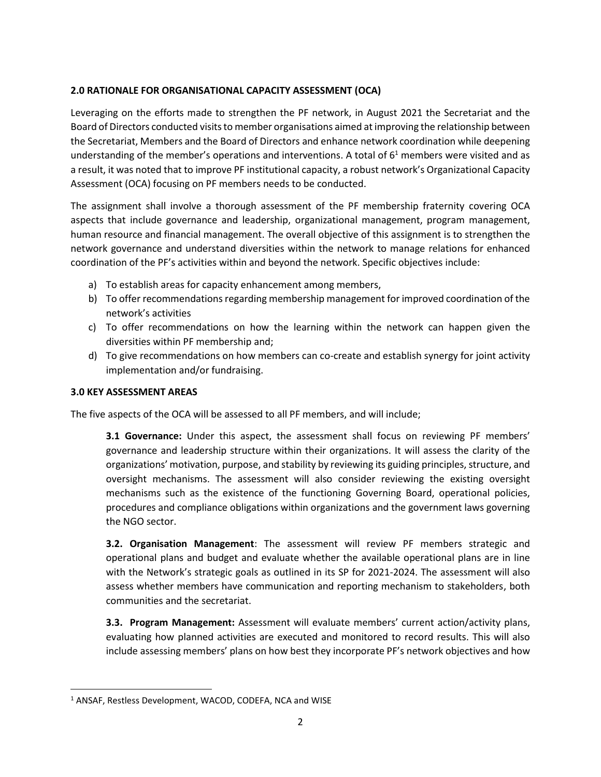# **2.0 RATIONALE FOR ORGANISATIONAL CAPACITY ASSESSMENT (OCA)**

Leveraging on the efforts made to strengthen the PF network, in August 2021 the Secretariat and the Board of Directors conducted visits to member organisations aimed at improving the relationship between the Secretariat, Members and the Board of Directors and enhance network coordination while deepening understanding of the member's operations and interventions. A total of  $6<sup>1</sup>$  members were visited and as a result, it was noted that to improve PF institutional capacity, a robust network's Organizational Capacity Assessment (OCA) focusing on PF members needs to be conducted.

The assignment shall involve a thorough assessment of the PF membership fraternity covering OCA aspects that include governance and leadership, organizational management, program management, human resource and financial management. The overall objective of this assignment is to strengthen the network governance and understand diversities within the network to manage relations for enhanced coordination of the PF's activities within and beyond the network. Specific objectives include:

- a) To establish areas for capacity enhancement among members,
- b) To offer recommendations regarding membership management for improved coordination of the network's activities
- c) To offer recommendations on how the learning within the network can happen given the diversities within PF membership and;
- d) To give recommendations on how members can co-create and establish synergy for joint activity implementation and/or fundraising.

## **3.0 KEY ASSESSMENT AREAS**

The five aspects of the OCA will be assessed to all PF members, and will include;

**3.1 Governance:** Under this aspect, the assessment shall focus on reviewing PF members' governance and leadership structure within their organizations. It will assess the clarity of the organizations' motivation, purpose, and stability by reviewing its guiding principles, structure, and oversight mechanisms. The assessment will also consider reviewing the existing oversight mechanisms such as the existence of the functioning Governing Board, operational policies, procedures and compliance obligations within organizations and the government laws governing the NGO sector.

**3.2. Organisation Management**: The assessment will review PF members strategic and operational plans and budget and evaluate whether the available operational plans are in line with the Network's strategic goals as outlined in its SP for 2021-2024. The assessment will also assess whether members have communication and reporting mechanism to stakeholders, both communities and the secretariat.

**3.3. Program Management:** Assessment will evaluate members' current action/activity plans, evaluating how planned activities are executed and monitored to record results. This will also include assessing members' plans on how best they incorporate PF's network objectives and how

<sup>1</sup> ANSAF, Restless Development, WACOD, CODEFA, NCA and WISE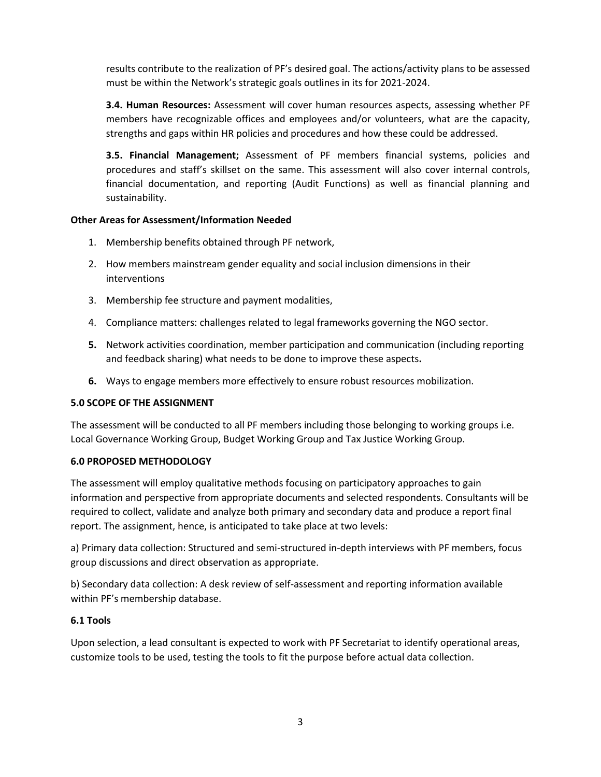results contribute to the realization of PF's desired goal. The actions/activity plans to be assessed must be within the Network's strategic goals outlines in its for 2021-2024.

**3.4. Human Resources:** Assessment will cover human resources aspects, assessing whether PF members have recognizable offices and employees and/or volunteers, what are the capacity, strengths and gaps within HR policies and procedures and how these could be addressed.

**3.5. Financial Management;** Assessment of PF members financial systems, policies and procedures and staff's skillset on the same. This assessment will also cover internal controls, financial documentation, and reporting (Audit Functions) as well as financial planning and sustainability.

## **Other Areas for Assessment/Information Needed**

- 1. Membership benefits obtained through PF network,
- 2. How members mainstream gender equality and social inclusion dimensions in their interventions
- 3. Membership fee structure and payment modalities,
- 4. Compliance matters: challenges related to legal frameworks governing the NGO sector.
- **5.** Network activities coordination, member participation and communication (including reporting and feedback sharing) what needs to be done to improve these aspects**.**
- **6.** Ways to engage members more effectively to ensure robust resources mobilization.

## **5.0 SCOPE OF THE ASSIGNMENT**

The assessment will be conducted to all PF members including those belonging to working groups i.e. Local Governance Working Group, Budget Working Group and Tax Justice Working Group.

## **6.0 PROPOSED METHODOLOGY**

The assessment will employ qualitative methods focusing on participatory approaches to gain information and perspective from appropriate documents and selected respondents. Consultants will be required to collect, validate and analyze both primary and secondary data and produce a report final report. The assignment, hence, is anticipated to take place at two levels:

a) Primary data collection: Structured and semi-structured in-depth interviews with PF members, focus group discussions and direct observation as appropriate.

b) Secondary data collection: A desk review of self-assessment and reporting information available within PF's membership database.

## **6.1 Tools**

Upon selection, a lead consultant is expected to work with PF Secretariat to identify operational areas, customize tools to be used, testing the tools to fit the purpose before actual data collection.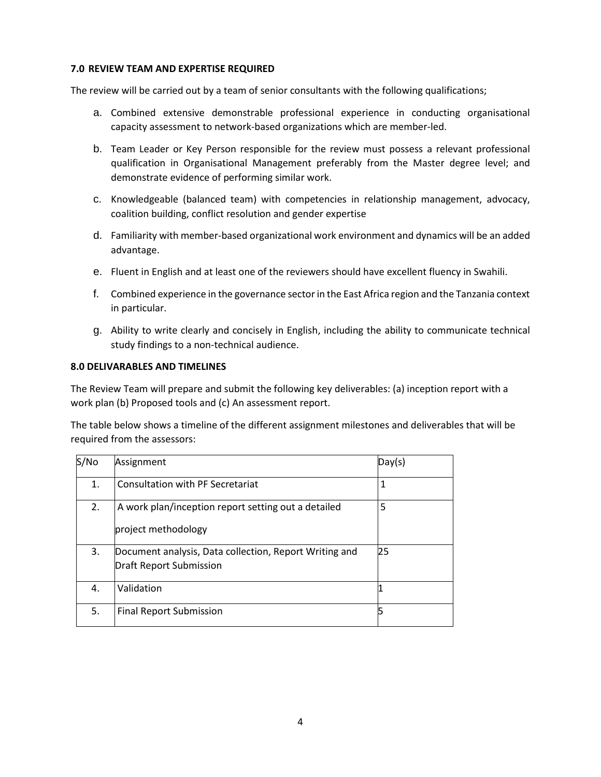#### **7.0 REVIEW TEAM AND EXPERTISE REQUIRED**

The review will be carried out by a team of senior consultants with the following qualifications;

- a. Combined extensive demonstrable professional experience in conducting organisational capacity assessment to network-based organizations which are member-led.
- b. Team Leader or Key Person responsible for the review must possess a relevant professional qualification in Organisational Management preferably from the Master degree level; and demonstrate evidence of performing similar work.
- c. Knowledgeable (balanced team) with competencies in relationship management, advocacy, coalition building, conflict resolution and gender expertise
- d. Familiarity with member-based organizational work environment and dynamics will be an added advantage.
- e. Fluent in English and at least one of the reviewers should have excellent fluency in Swahili.
- f. Combined experience in the governance sector in the East Africa region and the Tanzania context in particular.
- g. Ability to write clearly and concisely in English, including the ability to communicate technical study findings to a non-technical audience.

### **8.0 DELIVARABLES AND TIMELINES**

The Review Team will prepare and submit the following key deliverables: (a) inception report with a work plan (b) Proposed tools and (c) An assessment report.

The table below shows a timeline of the different assignment milestones and deliverables that will be required from the assessors:

| S/No | Assignment                                                                               | Day(s) |
|------|------------------------------------------------------------------------------------------|--------|
| 1.   | <b>Consultation with PF Secretariat</b>                                                  | 1      |
| 2.   | A work plan/inception report setting out a detailed<br>project methodology               | 5      |
| 3.   | Document analysis, Data collection, Report Writing and<br><b>Draft Report Submission</b> | 25     |
| 4.   | Validation                                                                               |        |
| 5.   | <b>Final Report Submission</b>                                                           |        |